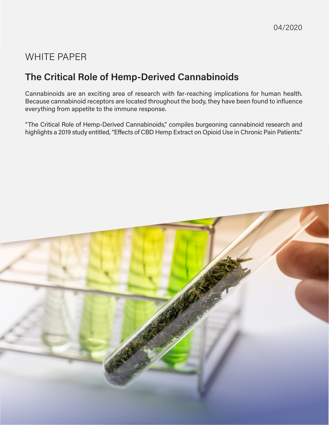# WHITE PAPER

# **The Critical Role of Hemp-Derived Cannabinoids**

Cannabinoids are an exciting area of research with far-reaching implications for human health. Because cannabinoid receptors are located throughout the body, they have been found to influence everything from appetite to the immune response.

"The Critical Role of Hemp-Derived Cannabinoids," compiles burgeoning cannabinoid research and highlights a 2019 study entitled, "Effects of CBD Hemp Extract on Opioid Use in Chronic Pain Patients."

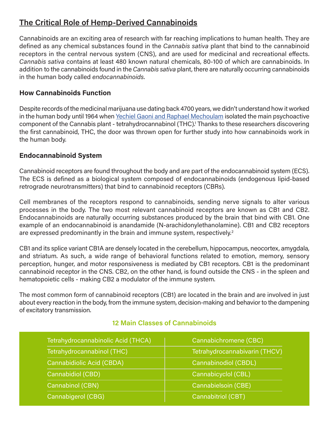### **The Critical Role of Hemp-Derived Cannabinoids**

Cannabinoids are an exciting area of research with far reaching implications to human health. They are defined as any chemical substances found in the *Cannabis sativa* plant that bind to the cannabinoid receptors in the central nervous system (CNS), and are used for medicinal and recreational effects. *Cannabis sativa* contains at least 480 known natural chemicals, 80-100 of which are cannabinoids. In addition to the cannabinoids found in the *Cannabis sativa* plant, there are naturally occurring cannabinoids in the human body called *endocannabinoids*.

#### **How Cannabinoids Function**

Despite records of the medicinal marijuana use dating back 4700 years, we didn't understand how it worked in the human body until 1964 when [Yechiel Gaoni and Raphael Mechoulam](https://scholar.google.com/scholar_lookup?journal=Journal+of+the+American+Chemical+Society&title=Isolation,+structure+and+partial+synthesis+of+an+active+constituent+of+Hashish&author=Y+Gaoni&author=R+Mechoulam&volume=86&publication_year=1964&pages=1646-1647&) isolated the main psychoactive component of the Cannabis plant - tetrahydrocannabinol (THC).1 Thanks to these researchers discovering the first cannabinoid, THC, the door was thrown open for further study into how cannabinoids work in the human body.

#### **Endocannabinoid System**

Cannabinoid receptors are found throughout the body and are part of the endocannabinoid system (ECS). The ECS is defined as a biological system composed of endocannabinoids (endogenous lipid-based retrograde neurotransmitters) that bind to cannabinoid receptors (CBRs).

Cell membranes of the receptors respond to cannabinoids, sending nerve signals to alter various processes in the body. The two most relevant cannabinoid receptors are known as CB1 and CB2. Endocannabinoids are naturally occurring substances produced by the brain that bind with CB1. One example of an endocannabinoid is anandamide (N-arachidonylethanolamine). CB1 and CB2 receptors are expressed predominantly in the brain and immune system, respectively.<sup>2</sup>

CB1 and its splice variant CB1A are densely located in the cerebellum, hippocampus, neocortex, amygdala, and striatum. As such, a wide range of behavioral functions related to emotion, memory, sensory perception, hunger, and motor responsiveness is mediated by CB1 receptors. CB1 is the predominant cannabinoid receptor in the CNS. CB2, on the other hand, is found outside the CNS - in the spleen and hematopoietic cells - making CB2 a modulator of the immune system.

The most common form of cannabinoid receptors (CB1) are located in the brain and are involved in just about every reaction in the body, from the immune system, decision-making and behavior to the dampening of excitatory transmission.

| Tetrahydrocannabinolic Acid (THCA) | Cannabichromene (CBC)         |
|------------------------------------|-------------------------------|
| Tetrahydrocannabinol (THC)         | Tetrahydrocannabivarin (THCV) |
| <b>Cannabidiolic Acid (CBDA)</b>   | <b>Cannabinodiol (CBDL)</b>   |
| <b>Cannabidiol (CBD)</b>           | Cannabicyclol (CBL)           |
| <b>Cannabinol (CBN)</b>            | Cannabielsoin (CBE)           |
| Cannabigerol (CBG)                 | <b>Cannabitriol (CBT)</b>     |

#### **12 Main Classes of Cannabinoids**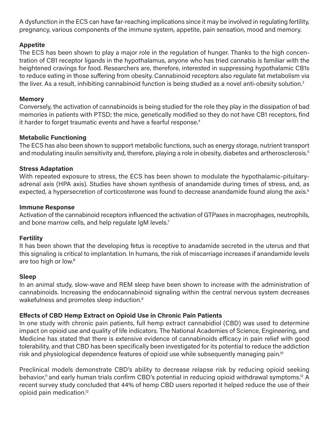A dysfunction in the ECS can have far-reaching implications since it may be involved in regulating fertility, pregnancy, various components of the immune system, appetite, pain sensation, mood and memory.

#### **Appetite**

The ECS has been shown to play a major role in the regulation of hunger. Thanks to the high concentration of CB1 receptor ligands in the hypothalamus, anyone who has tried cannabis is familiar with the heightened cravings for food. Researchers are, therefore, interested in suppressing hypothalamic CB1s to reduce eating in those suffering from obesity. Cannabinoid receptors also regulate fat metabolism via the liver. As a result, inhibiting cannabinoid function is being studied as a novel anti-obesity solution.<sup>3</sup>

#### **Memory**

Conversely, the activation of cannabinoids is being studied for the role they play in the dissipation of bad memories in patients with PTSD; the mice, genetically modified so they do not have CB1 receptors, find it harder to forget traumatic events and have a fearful response.<sup>4</sup>

#### **Metabolic Functioning**

The ECS has also been shown to support metabolic functions, such as energy storage, nutrient transport and modulating insulin sensitivity and, therefore, playing a role in obesity, diabetes and artherosclerosis.<sup>5</sup>

#### **Stress Adaptation**

With repeated exposure to stress, the ECS has been shown to modulate the hypothalamic-pituitaryadrenal axis (HPA axis). Studies have shown synthesis of anandamide during times of stress, and, as expected, a hypersecretion of corticosterone was found to decrease anandamide found along the axis.<sup>6</sup>

#### **Immune Response**

Activation of the cannabinoid receptors influenced the activation of GTPases in macrophages, neutrophils, and bone marrow cells, and help regulate IgM levels.<sup>7</sup>

#### **Fertility**

It has been shown that the developing fetus is receptive to anadamide secreted in the uterus and that this signaling is critical to implantation. In humans, the risk of miscarriage increases if anandamide levels are too high or low.<sup>8</sup>

#### **Sleep**

In an animal study, slow-wave and REM sleep have been shown to increase with the administration of cannabinoids. Increasing the endocannabinoid signaling within the central nervous system decreases wakefulness and promotes sleep induction.<sup>9</sup>

#### **Effects of CBD Hemp Extract on Opioid Use in Chronic Pain Patients**

In one study with chronic pain patients, full hemp extract cannabidiol (CBD) was used to determine impact on opioid use and quality of life indicators. The National Academies of Science, Engineering, and Medicine has stated that there is extensive evidence of cannabinoids efficacy in pain relief with good tolerability, and that CBD has been specifically been investigated for its potential to reduce the addiction risk and physiological dependence features of opioid use while subsequently managing pain.<sup>10</sup>

Preclinical models demonstrate CBD's ability to decrease relapse risk by reducing opioid seeking behavior,<sup>11</sup> and early human trials confirm CBD's potential in reducing opioid withdrawal symptoms.<sup>12</sup> A recent survey study concluded that 44% of hemp CBD users reported it helped reduce the use of their opioid pain medication.12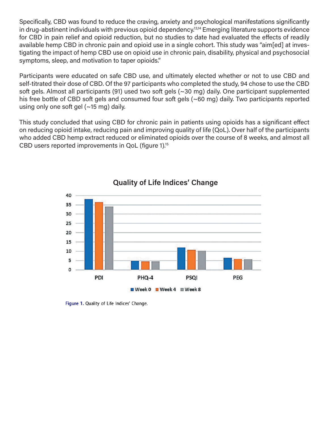Specifically, CBD was found to reduce the craving, anxiety and psychological manifestations significantly in drug-abstinent individuals with previous opioid dependency.13,14 Emerging literature supports evidence for CBD in pain relief and opioid reduction, but no studies to date had evaluated the effects of readily available hemp CBD in chronic pain and opioid use in a single cohort. This study was "aim[ed] at investigating the impact of hemp CBD use on opioid use in chronic pain, disability, physical and psychosocial symptoms, sleep, and motivation to taper opioids."

Participants were educated on safe CBD use, and ultimately elected whether or not to use CBD and self-titrated their dose of CBD. Of the 97 participants who completed the study, 94 chose to use the CBD soft gels. Almost all participants (91) used two soft gels (~30 mg) daily. One participant supplemented his free bottle of CBD soft gels and consumed four soft gels (~60 mg) daily. Two participants reported using only one soft gel (~15 mg) daily.

This study concluded that using CBD for chronic pain in patients using opioids has a significant effect on reducing opioid intake, reducing pain and improving quality of life (QoL). Over half of the participants who added CBD hemp extract reduced or eliminated opioids over the course of 8 weeks, and almost all CBD users reported improvements in QoL (figure 1).15



### **Quality of Life Indices' Change**

Figure 1. Quality of Life Indices' Change.